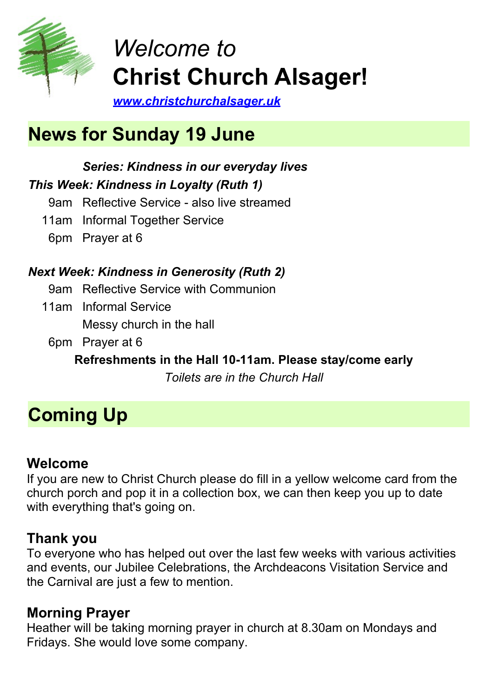

# *Welcome to* **Christ Church Alsager!**

*[www.christchurchalsager.uk](http://www.christchurchalsager.org.uk)*

# **News for Sunday 19 June**

### *Series: Kindness in our everyday lives This Week: Kindness in Loyalty (Ruth 1)*

- 9am Reflective Service also live streamed
- 11am Informal Together Service
	- 6pm Prayer at 6

# *Next Week: Kindness in Generosity (Ruth 2)*

- 9am Reflective Service with Communion
- 11am Informal Service Messy church in the hall
- 6pm Prayer at 6

**Refreshments in the Hall 10-11am. Please stay/come early**

*Toilets are in the Church Hall*

# **Coming Up**

## **Welcome**

If you are new to Christ Church please do fill in a yellow welcome card from the church porch and pop it in a collection box, we can then keep you up to date with everything that's going on.

# **Thank you**

To everyone who has helped out over the last few weeks with various activities and events, our Jubilee Celebrations, the Archdeacons Visitation Service and the Carnival are just a few to mention.

# **Morning Prayer**

Heather will be taking morning prayer in church at 8.30am on Mondays and Fridays. She would love some company.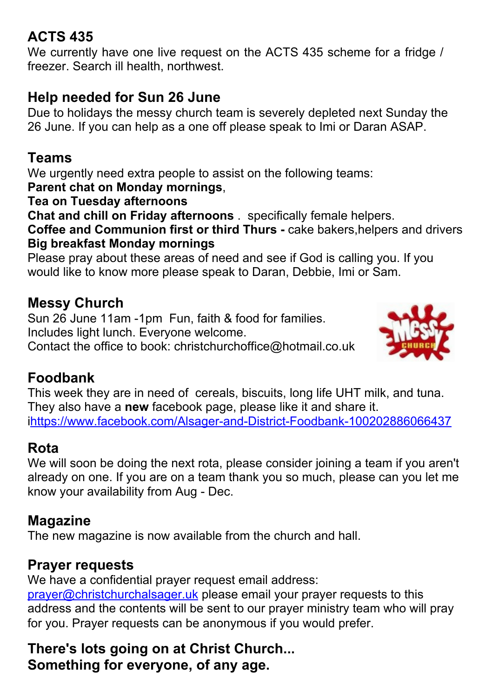# **ACTS 435**

We currently have one live request on the ACTS 435 scheme for a fridge / freezer. Search ill health, northwest.

## **Help needed for Sun 26 June**

Due to holidays the messy church team is severely depleted next Sunday the 26 June. If you can help as a one off please speak to Imi or Daran ASAP.

### **Teams**

We urgently need extra people to assist on the following teams:

### **Parent chat on Monday mornings**,

**Tea on Tuesday afternoons**

**Chat and chill on Friday afternoons** . specifically female helpers.

**Coffee and Communion first or third Thurs -** cake bakers,helpers and drivers **Big breakfast Monday mornings**

Please pray about these areas of need and see if God is calling you. If you would like to know more please speak to Daran, Debbie, Imi or Sam.

## **Messy Church**

Sun 26 June 11am -1pm Fun, faith & food for families. Includes light lunch. Everyone welcome. Contact the office to book: christchurchoffice@hotmail.co.uk



## **Foodbank**

This week they are in need of cereals, biscuits, long life UHT milk, and tuna. They also have a **new** facebook page, please like it and share it. i<https://www.facebook.com/Alsager-and-District-Foodbank-100202886066437>

### **Rota**

We will soon be doing the next rota, please consider joining a team if you aren't already on one. If you are on a team thank you so much, please can you let me know your availability from Aug - Dec.

### **Magazine**

The new magazine is now available from the church and hall.

### **Prayer requests**

We have a confidential prayer request email address:

[prayer@christchurchalsager.uk](mailto:prayer@christchurchalsager.uk) please email your prayer requests to this address and the contents will be sent to our prayer ministry team who will pray for you. Prayer requests can be anonymous if you would prefer.

**There's lots going on at Christ Church... Something for everyone, of any age.**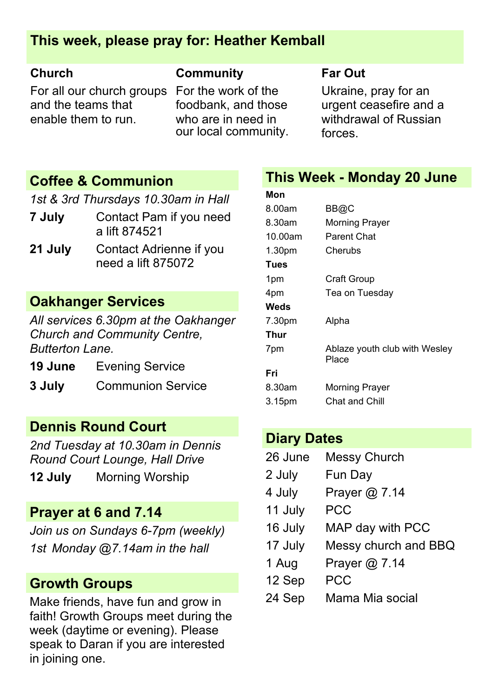### **This week, please pray for: Heather Kemball**

For all our church groups For the work of the and the teams that enable them to run.

### **Church Community Far Out**

foodbank, and those who are in need in our local community.

Ukraine, pray for an urgent ceasefire and a withdrawal of Russian forces.

### **Coffee & Communion**

*1st & 3rd Thursdays 10.30am in Hall*

- **7 July** Contact Pam if you need a lift 874521
- **21 July** Contact Adrienne if you need a lift 875072

### **Oakhanger Services**

*All services 6.30pm at the Oakhanger Church and Community Centre, Butterton Lane.*

**19 June** Evening Service

**3 July** Communion Service

### **Dennis Round Court**

*2nd Tuesday at 10.30am in Dennis Round Court Lounge, Hall Drive*

**12 July** Morning Worship

### **Prayer at 6 and 7.14**

*Join us on Sundays 6-7pm (weekly) 1st Monday @7.14am in the hall*

### **Growth Groups**

Make friends, have fun and grow in faith! Growth Groups meet during the week (daytime or evening). Please speak to Daran if you are interested in joining one.

### **This Week - Monday 20 June**

| Mon             |                                        |
|-----------------|----------------------------------------|
| 8.00am          | BB@C                                   |
| 8.30am          | <b>Morning Prayer</b>                  |
| 10.00am         | Parent Chat                            |
| 1.30pm          | Cherubs                                |
| Tues            |                                        |
| 1 <sub>pm</sub> | Craft Group                            |
| 4pm             | Tea on Tuesday                         |
| Weds            |                                        |
| 7.30pm          | Alpha                                  |
| Thur            |                                        |
| 7pm             | Ablaze youth club with Wesley<br>Place |
| Fri             |                                        |
| 8.30am          | <b>Morning Prayer</b>                  |
| 3.15pm          | Chat and Chill                         |
|                 |                                        |

### **Diary Dates**

| 26 June | <b>Messy Church</b>  |
|---------|----------------------|
| 2 July  | Fun Day              |
| 4 July  | Prayer @ 7.14        |
| 11 July | <b>PCC</b>           |
| 16 July | MAP day with PCC     |
| 17 July | Messy church and BBQ |
| 1 Aug   | Prayer @ 7.14        |
| 12 Sep  | <b>PCC</b>           |
| 24 Sep  | Mama Mia social      |